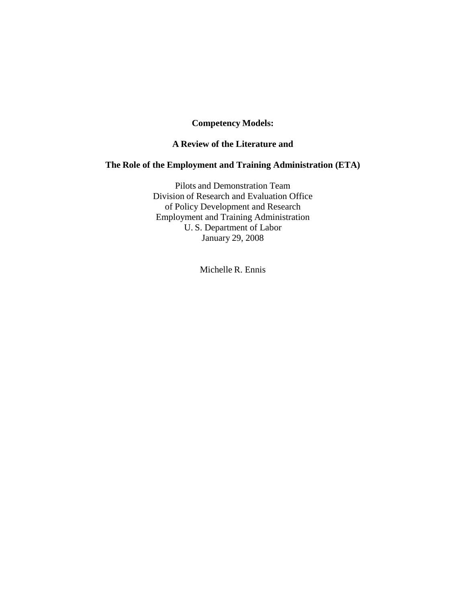# **Competency Models:**

## **A Review of the Literature and**

# **The Role of the Employment and Training Administration (ETA)**

Pilots and Demonstration Team Division of Research and Evaluation Office of Policy Development and Research Employment and Training Administration U. S. Department of Labor January 29, 2008

Michelle R. Ennis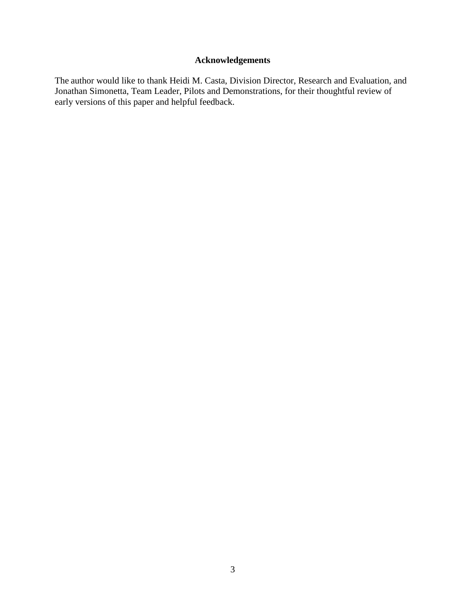# **Acknowledgements**

The author would like to thank Heidi M. Casta, Division Director, Research and Evaluation, and Jonathan Simonetta, Team Leader, Pilots and Demonstrations, for their thoughtful review of early versions of this paper and helpful feedback.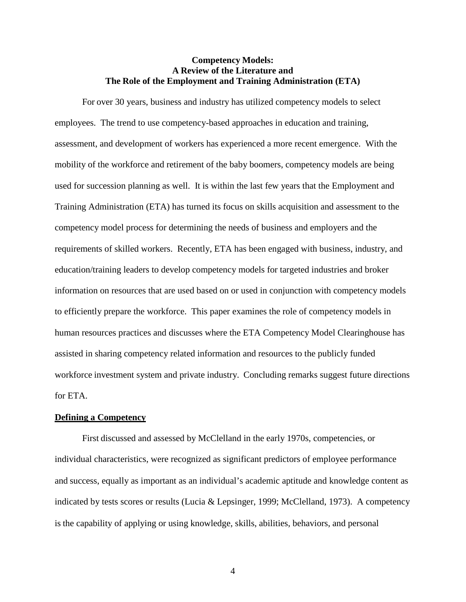## **Competency Models: A Review of the Literature and The Role of the Employment and Training Administration (ETA)**

For over 30 years, business and industry has utilized competency models to select employees. The trend to use competency-based approaches in education and training, assessment, and development of workers has experienced a more recent emergence. With the mobility of the workforce and retirement of the baby boomers, competency models are being used for succession planning as well. It is within the last few years that the Employment and Training Administration (ETA) has turned its focus on skills acquisition and assessment to the competency model process for determining the needs of business and employers and the requirements of skilled workers. Recently, ETA has been engaged with business, industry, and education/training leaders to develop competency models for targeted industries and broker information on resources that are used based on or used in conjunction with competency models to efficiently prepare the workforce. This paper examines the role of competency models in human resources practices and discusses where the ETA Competency Model Clearinghouse has assisted in sharing competency related information and resources to the publicly funded workforce investment system and private industry. Concluding remarks suggest future directions for ETA.

## **Defining a Competency**

First discussed and assessed by McClelland in the early 1970s, competencies, or individual characteristics, were recognized as significant predictors of employee performance and success, equally as important as an individual's academic aptitude and knowledge content as indicated by tests scores or results (Lucia & Lepsinger, 1999; McClelland, 1973). A competency is the capability of applying or using knowledge, skills, abilities, behaviors, and personal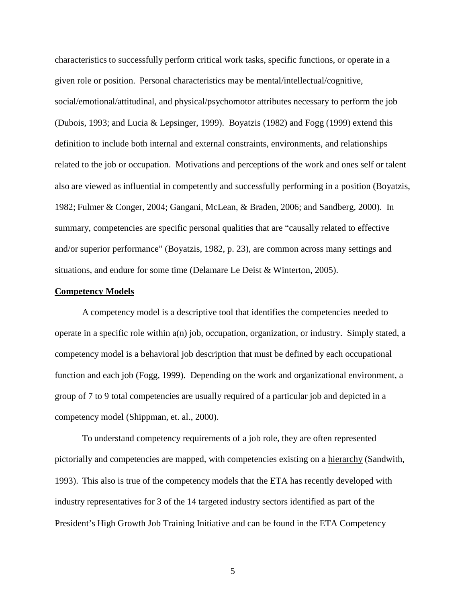characteristics to successfully perform critical work tasks, specific functions, or operate in a given role or position. Personal characteristics may be mental/intellectual/cognitive, social/emotional/attitudinal, and physical/psychomotor attributes necessary to perform the job (Dubois, 1993; and Lucia & Lepsinger, 1999). Boyatzis (1982) and Fogg (1999) extend this definition to include both internal and external constraints, environments, and relationships related to the job or occupation. Motivations and perceptions of the work and ones self or talent also are viewed as influential in competently and successfully performing in a position (Boyatzis, 1982; Fulmer & Conger, 2004; Gangani, McLean, & Braden, 2006; and Sandberg, 2000). In summary, competencies are specific personal qualities that are "causally related to effective and/or superior performance" (Boyatzis, 1982, p. 23), are common across many settings and situations, and endure for some time (Delamare Le Deist & Winterton, 2005).

#### **Competency Models**

A competency model is a descriptive tool that identifies the competencies needed to operate in a specific role within a(n) job, occupation, organization, or industry. Simply stated, a competency model is a behavioral job description that must be defined by each occupational function and each job (Fogg, 1999). Depending on the work and organizational environment, a group of 7 to 9 total competencies are usually required of a particular job and depicted in a competency model (Shippman, et. al., 2000).

To understand competency requirements of a job role, they are often represented pictorially and competencies are mapped, with competencies existing on a hierarchy (Sandwith, 1993). This also is true of the competency models that the ETA has recently developed with industry representatives for 3 of the 14 targeted industry sectors identified as part of the President's High Growth Job Training Initiative and can be found in the ETA Competency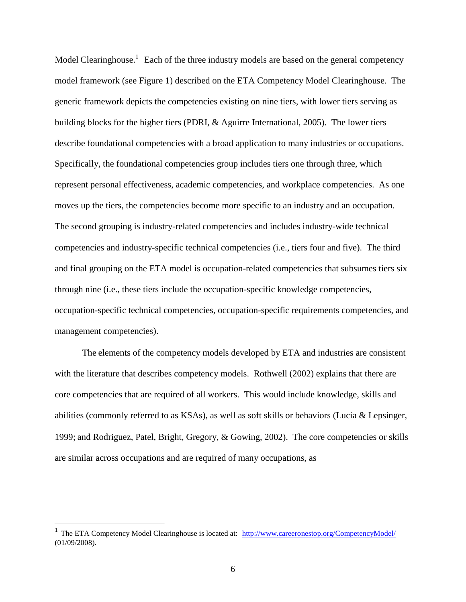Model Clearinghouse.<sup>1</sup> Each of the three industry models are based on the general competency model framework (see Figure 1) described on the ETA Competency Model Clearinghouse. The generic framework depicts the competencies existing on nine tiers, with lower tiers serving as building blocks for the higher tiers (PDRI, & Aguirre International, 2005). The lower tiers describe foundational competencies with a broad application to many industries or occupations. Specifically, the foundational competencies group includes tiers one through three, which represent personal effectiveness, academic competencies, and workplace competencies. As one moves up the tiers, the competencies become more specific to an industry and an occupation. The second grouping is industry-related competencies and includes industry-wide technical competencies and industry-specific technical competencies (i.e., tiers four and five). The third and final grouping on the ETA model is occupation-related competencies that subsumes tiers six through nine (i.e., these tiers include the occupation-specific knowledge competencies, occupation-specific technical competencies, occupation-specific requirements competencies, and management competencies).

The elements of the competency models developed by ETA and industries are consistent with the literature that describes competency models. Rothwell (2002) explains that there are core competencies that are required of all workers. This would include knowledge, skills and abilities (commonly referred to as KSAs), as well as soft skills or behaviors (Lucia & Lepsinger, 1999; and Rodriguez, Patel, Bright, Gregory, & Gowing, 2002). The core competencies or skills are similar across occupations and are required of many occupations, as

<sup>&</sup>lt;sup>1</sup> The ETA Competency Model Clearinghouse is located at: <http://www.careeronestop.org/CompetencyModel/> (01/09/2008).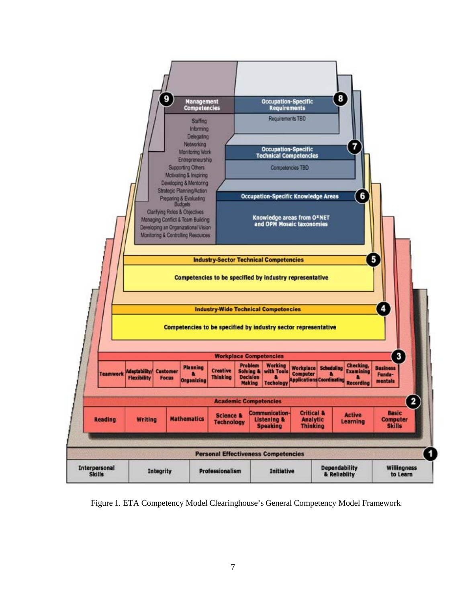

Figure 1. ETA Competency Model Clearinghouse's General Competency Model Framework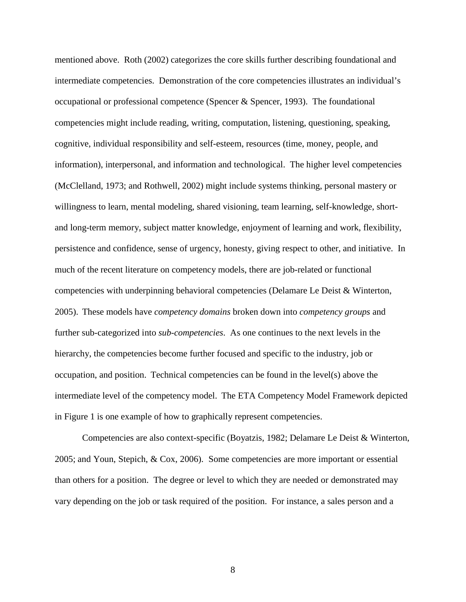mentioned above. Roth (2002) categorizes the core skills further describing foundational and intermediate competencies. Demonstration of the core competencies illustrates an individual's occupational or professional competence (Spencer & Spencer, 1993). The foundational competencies might include reading, writing, computation, listening, questioning, speaking, cognitive, individual responsibility and self-esteem, resources (time, money, people, and information), interpersonal, and information and technological. The higher level competencies (McClelland, 1973; and Rothwell, 2002) might include systems thinking, personal mastery or willingness to learn, mental modeling, shared visioning, team learning, self-knowledge, shortand long-term memory, subject matter knowledge, enjoyment of learning and work, flexibility, persistence and confidence, sense of urgency, honesty, giving respect to other, and initiative. In much of the recent literature on competency models, there are job-related or functional competencies with underpinning behavioral competencies (Delamare Le Deist & Winterton, 2005). These models have *competency domains* broken down into *competency groups* and further sub-categorized into *sub-competencies*. As one continues to the next levels in the hierarchy, the competencies become further focused and specific to the industry, job or occupation, and position. Technical competencies can be found in the level(s) above the intermediate level of the competency model. The ETA Competency Model Framework depicted in Figure 1 is one example of how to graphically represent competencies.

Competencies are also context-specific (Boyatzis, 1982; Delamare Le Deist & Winterton, 2005; and Youn, Stepich, & Cox, 2006). Some competencies are more important or essential than others for a position. The degree or level to which they are needed or demonstrated may vary depending on the job or task required of the position. For instance, a sales person and a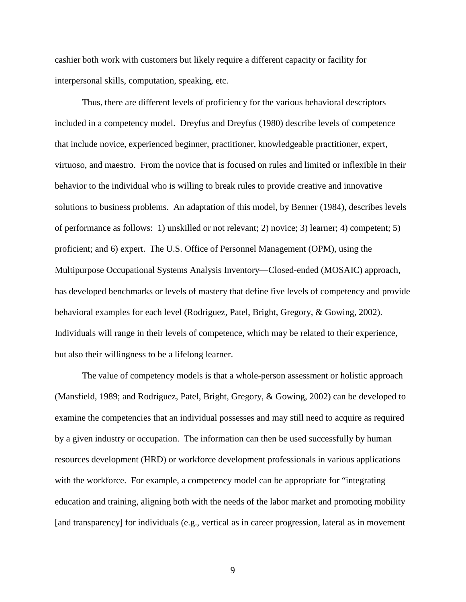cashier both work with customers but likely require a different capacity or facility for interpersonal skills, computation, speaking, etc.

Thus, there are different levels of proficiency for the various behavioral descriptors included in a competency model. Dreyfus and Dreyfus (1980) describe levels of competence that include novice, experienced beginner, practitioner, knowledgeable practitioner, expert, virtuoso, and maestro. From the novice that is focused on rules and limited or inflexible in their behavior to the individual who is willing to break rules to provide creative and innovative solutions to business problems. An adaptation of this model, by Benner (1984), describes levels of performance as follows: 1) unskilled or not relevant; 2) novice; 3) learner; 4) competent; 5) proficient; and 6) expert. The U.S. Office of Personnel Management (OPM), using the Multipurpose Occupational Systems Analysis Inventory—Closed-ended (MOSAIC) approach, has developed benchmarks or levels of mastery that define five levels of competency and provide behavioral examples for each level (Rodriguez, Patel, Bright, Gregory, & Gowing, 2002). Individuals will range in their levels of competence, which may be related to their experience, but also their willingness to be a lifelong learner.

The value of competency models is that a whole-person assessment or holistic approach (Mansfield, 1989; and Rodriguez, Patel, Bright, Gregory, & Gowing, 2002) can be developed to examine the competencies that an individual possesses and may still need to acquire as required by a given industry or occupation. The information can then be used successfully by human resources development (HRD) or workforce development professionals in various applications with the workforce. For example, a competency model can be appropriate for "integrating" education and training, aligning both with the needs of the labor market and promoting mobility [and transparency] for individuals (e.g., vertical as in career progression, lateral as in movement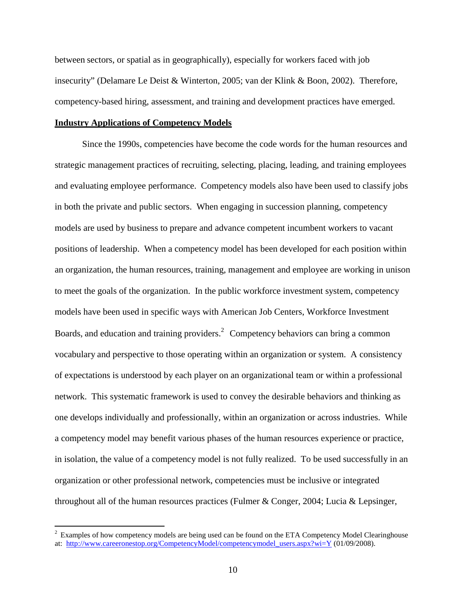between sectors, or spatial as in geographically), especially for workers faced with job insecurity" (Delamare Le Deist & Winterton, 2005; van der Klink & Boon, 2002). Therefore, competency-based hiring, assessment, and training and development practices have emerged.

## **Industry Applications of Competency Models**

Since the 1990s, competencies have become the code words for the human resources and strategic management practices of recruiting, selecting, placing, leading, and training employees and evaluating employee performance. Competency models also have been used to classify jobs in both the private and public sectors. When engaging in succession planning, competency models are used by business to prepare and advance competent incumbent workers to vacant positions of leadership. When a competency model has been developed for each position within an organization, the human resources, training, management and employee are working in unison to meet the goals of the organization. In the public workforce investment system, competency models have been used in specific ways with American Job Centers, Workforce Investment Boards, and education and training providers. $^2$  Competency behaviors can bring a common vocabulary and perspective to those operating within an organization or system. A consistency of expectations is understood by each player on an organizational team or within a professional network. This systematic framework is used to convey the desirable behaviors and thinking as one develops individually and professionally, within an organization or across industries. While a competency model may benefit various phases of the human resources experience or practice, in isolation, the value of a competency model is not fully realized. To be used successfully in an organization or other professional network, competencies must be inclusive or integrated throughout all of the human resources practices (Fulmer & Conger, 2004; Lucia & Lepsinger,

 $2$  Examples of how competency models are being used can be found on the ETA Competency Model Clearinghouse at: [http://www.careeronestop.org/CompetencyModel/competencymodel\\_users.aspx](http://www.careeronestop.org/CompetencyModel/competencymodel_users.aspx)?wi=Y (01/09/2008).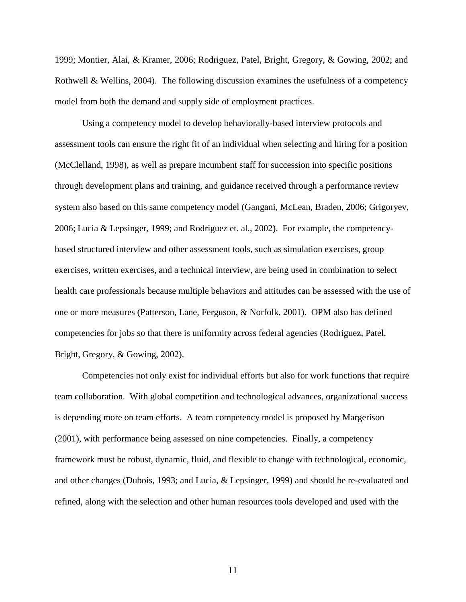1999; Montier, Alai, & Kramer, 2006; Rodriguez, Patel, Bright, Gregory, & Gowing, 2002; and Rothwell & Wellins, 2004). The following discussion examines the usefulness of a competency model from both the demand and supply side of employment practices.

Using a competency model to develop behaviorally-based interview protocols and assessment tools can ensure the right fit of an individual when selecting and hiring for a position (McClelland, 1998), as well as prepare incumbent staff for succession into specific positions through development plans and training, and guidance received through a performance review system also based on this same competency model (Gangani, McLean, Braden, 2006; Grigoryev, 2006; Lucia & Lepsinger, 1999; and Rodriguez et. al., 2002). For example, the competencybased structured interview and other assessment tools, such as simulation exercises, group exercises, written exercises, and a technical interview, are being used in combination to select health care professionals because multiple behaviors and attitudes can be assessed with the use of one or more measures (Patterson, Lane, Ferguson, & Norfolk, 2001). OPM also has defined competencies for jobs so that there is uniformity across federal agencies (Rodriguez, Patel, Bright, Gregory, & Gowing, 2002).

Competencies not only exist for individual efforts but also for work functions that require team collaboration. With global competition and technological advances, organizational success is depending more on team efforts. A team competency model is proposed by Margerison (2001), with performance being assessed on nine competencies. Finally, a competency framework must be robust, dynamic, fluid, and flexible to change with technological, economic, and other changes (Dubois, 1993; and Lucia, & Lepsinger, 1999) and should be re-evaluated and refined, along with the selection and other human resources tools developed and used with the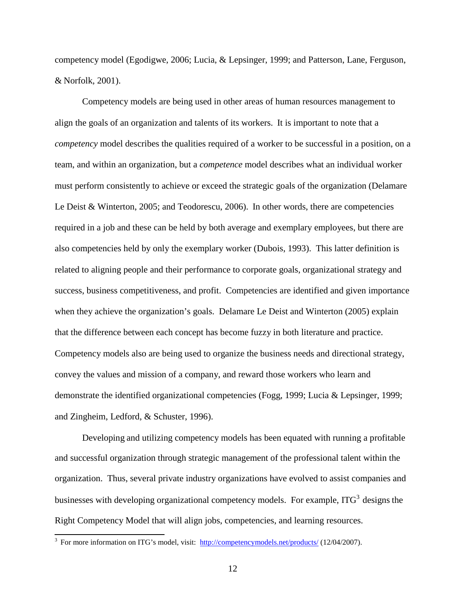competency model (Egodigwe, 2006; Lucia, & Lepsinger, 1999; and Patterson, Lane, Ferguson, & Norfolk, 2001).

Competency models are being used in other areas of human resources management to align the goals of an organization and talents of its workers. It is important to note that a *competency* model describes the qualities required of a worker to be successful in a position, on a team, and within an organization, but a *competence* model describes what an individual worker must perform consistently to achieve or exceed the strategic goals of the organization (Delamare Le Deist & Winterton, 2005; and Teodorescu, 2006). In other words, there are competencies required in a job and these can be held by both average and exemplary employees, but there are also competencies held by only the exemplary worker (Dubois, 1993). This latter definition is related to aligning people and their performance to corporate goals, organizational strategy and success, business competitiveness, and profit. Competencies are identified and given importance when they achieve the organization's goals. Delamare Le Deist and Winterton (2005) explain that the difference between each concept has become fuzzy in both literature and practice. Competency models also are being used to organize the business needs and directional strategy, convey the values and mission of a company, and reward those workers who learn and demonstrate the identified organizational competencies (Fogg, 1999; Lucia & Lepsinger, 1999; and Zingheim, Ledford, & Schuster, 1996).

Developing and utilizing competency models has been equated with running a profitable and successful organization through strategic management of the professional talent within the organization. Thus, several private industry organizations have evolved to assist companies and businesses with developing organizational competency models. For example, ITG<sup>3</sup> designs the Right Competency Model that will align jobs, competencies, and learning resources.

<sup>&</sup>lt;sup>3</sup> For more information on ITG's model, visit:<http://competencymodels.net/products/> (12/04/2007).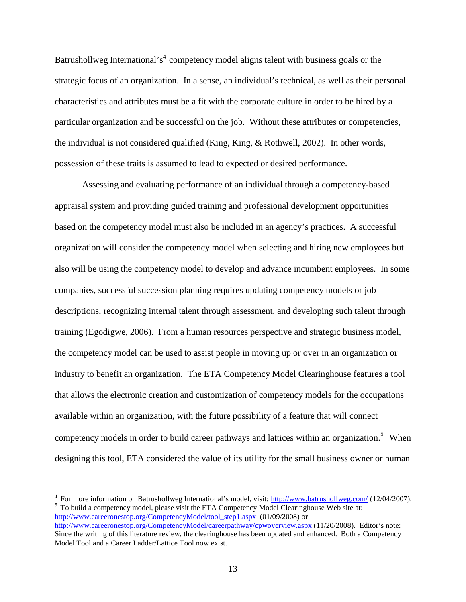Batrushollweg International's<sup>4</sup> competency model aligns talent with business goals or the strategic focus of an organization. In a sense, an individual's technical, as well as their personal characteristics and attributes must be a fit with the corporate culture in order to be hired by a particular organization and be successful on the job. Without these attributes or competencies, the individual is not considered qualified (King, King, & Rothwell, 2002). In other words, possession of these traits is assumed to lead to expected or desired performance.

Assessing and evaluating performance of an individual through a competency-based appraisal system and providing guided training and professional development opportunities based on the competency model must also be included in an agency's practices. A successful organization will consider the competency model when selecting and hiring new employees but also will be using the competency model to develop and advance incumbent employees. In some companies, successful succession planning requires updating competency models or job descriptions, recognizing internal talent through assessment, and developing such talent through training (Egodigwe, 2006). From a human resources perspective and strategic business model, the competency model can be used to assist people in moving up or over in an organization or industry to benefit an organization. The ETA Competency Model Clearinghouse features a tool that allows the electronic creation and customization of competency models for the occupations available within an organization, with the future possibility of a feature that will connect competency models in order to build career pathways and lattices within an organization.<sup>5</sup> When designing this tool, ETA considered the value of its utility for the small business owner or human

<sup>4</sup> For more information on Batrushollweg International's model, visit:  $\frac{http://www.batrushollweg.com/}{http://www.batrushollweg.com/}$  (12/04/2007).<br><sup>5</sup> To build a competency model, please visit the ETA Competency Model Clearinghouse Web site at: [http://www.careeronestop.org/CompetencyModel/tool\\_step1.aspx](http://www.careeronestop.org/CompetencyModel/tool_step1.aspx) (01/09/2008) or <http://www.careeronestop.org/CompetencyModel/careerpathway/cpwoverview.aspx> (11/20/2008). Editor's note: Since the writing of this literature review, the clearinghouse has been updated and enhanced. Both a Competency Model Tool and a Career Ladder/Lattice Tool now exist.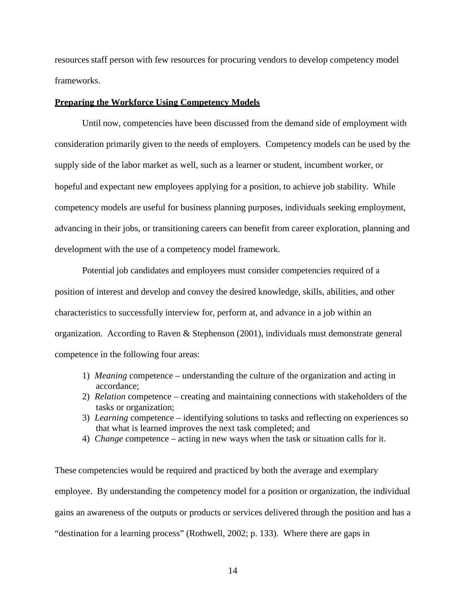resources staff person with few resources for procuring vendors to develop competency model frameworks.

## **Preparing the Workforce Using Competency Models**

Until now, competencies have been discussed from the demand side of employment with consideration primarily given to the needs of employers. Competency models can be used by the supply side of the labor market as well, such as a learner or student, incumbent worker, or hopeful and expectant new employees applying for a position, to achieve job stability. While competency models are useful for business planning purposes, individuals seeking employment, advancing in their jobs, or transitioning careers can benefit from career exploration, planning and development with the use of a competency model framework.

Potential job candidates and employees must consider competencies required of a position of interest and develop and convey the desired knowledge, skills, abilities, and other characteristics to successfully interview for, perform at, and advance in a job within an organization. According to Raven & Stephenson (2001), individuals must demonstrate general competence in the following four areas:

- 1) *Meaning* competence understanding the culture of the organization and acting in accordance;
- 2) *Relation* competence creating and maintaining connections with stakeholders of the tasks or organization;
- 3) *Learning* competence identifying solutions to tasks and reflecting on experiences so that what is learned improves the next task completed; and
- 4) *Change* competence acting in new ways when the task or situation calls for it.

These competencies would be required and practiced by both the average and exemplary employee. By understanding the competency model for a position or organization, the individual gains an awareness of the outputs or products or services delivered through the position and has a "destination for a learning process" (Rothwell, 2002; p. 133). Where there are gaps in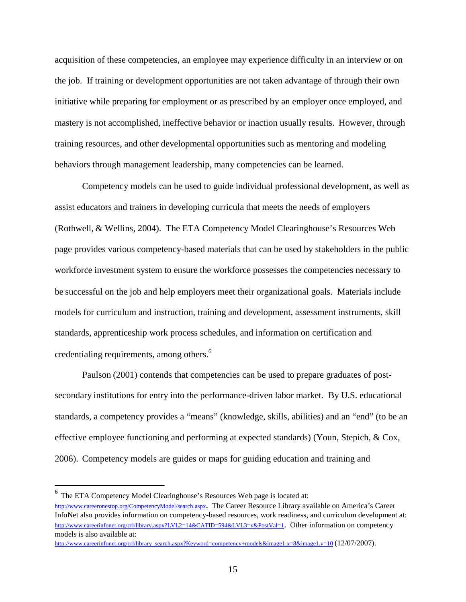acquisition of these competencies, an employee may experience difficulty in an interview or on the job. If training or development opportunities are not taken advantage of through their own initiative while preparing for employment or as prescribed by an employer once employed, and mastery is not accomplished, ineffective behavior or inaction usually results. However, through training resources, and other developmental opportunities such as mentoring and modeling behaviors through management leadership, many competencies can be learned.

Competency models can be used to guide individual professional development, as well as assist educators and trainers in developing curricula that meets the needs of employers (Rothwell, & Wellins, 2004). The ETA Competency Model Clearinghouse's Resources Web page provides various competency-based materials that can be used by stakeholders in the public workforce investment system to ensure the workforce possesses the competencies necessary to be successful on the job and help employers meet their organizational goals. Materials include models for curriculum and instruction, training and development, assessment instruments, skill standards, apprenticeship work process schedules, and information on certification and credentialing requirements, among others.<sup>6</sup>

Paulson (2001) contends that competencies can be used to prepare graduates of postsecondary institutions for entry into the performance-driven labor market. By U.S. educational standards, a competency provides a "means" (knowledge, skills, abilities) and an "end" (to be an effective employee functioning and performing at expected standards) (Youn, Stepich, & Cox, 2006). Competency models are guides or maps for guiding education and training and

 $^6$  The ETA Competency Model Clearinghouse's Resources Web page is located at: <http://www.careeronestop.org/CompetencyModel/search.aspx>. The Career Resource Library available on America's Career InfoNet also provides information on competency-based resources, work readiness, and curriculum development at: [http://www.careerinfonet.org/crl/library.aspx?](http://www.careerinfonet.org/crl/library.aspx)LVL2=14&CATID=594&LVL3=y&PostVal=1. Other information on competency models is also available at:

[http://www.careerinfonet.org/crl/library\\_search.aspx?](http://www.careerinfonet.org/crl/library_search.aspx)Keyword=competency+models&image1.x=8&image1.y=10 (12/07/2007).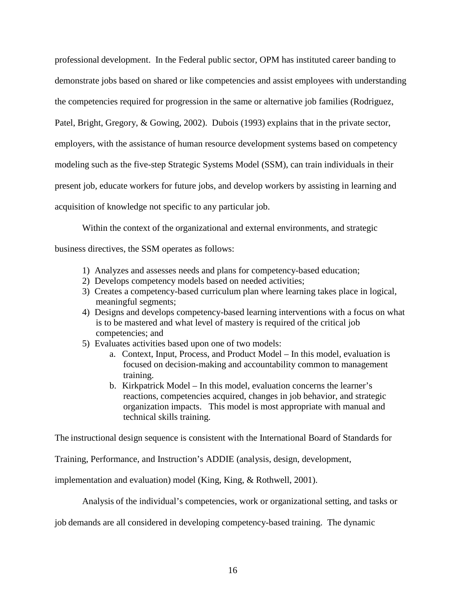professional development. In the Federal public sector, OPM has instituted career banding to demonstrate jobs based on shared or like competencies and assist employees with understanding the competencies required for progression in the same or alternative job families (Rodriguez, Patel, Bright, Gregory, & Gowing, 2002). Dubois (1993) explains that in the private sector, employers, with the assistance of human resource development systems based on competency modeling such as the five-step Strategic Systems Model (SSM), can train individuals in their present job, educate workers for future jobs, and develop workers by assisting in learning and acquisition of knowledge not specific to any particular job.

Within the context of the organizational and external environments, and strategic

business directives, the SSM operates as follows:

- 1) Analyzes and assesses needs and plans for competency-based education;
- 2) Develops competency models based on needed activities;
- 3) Creates a competency-based curriculum plan where learning takes place in logical, meaningful segments;
- 4) Designs and develops competency-based learning interventions with a focus on what is to be mastered and what level of mastery is required of the critical job competencies; and
- 5) Evaluates activities based upon one of two models:
	- a. Context, Input, Process, and Product Model In this model, evaluation is focused on decision-making and accountability common to management training.
	- b. Kirkpatrick Model In this model, evaluation concerns the learner's reactions, competencies acquired, changes in job behavior, and strategic organization impacts. This model is most appropriate with manual and technical skills training.

The instructional design sequence is consistent with the International Board of Standards for

Training, Performance, and Instruction's ADDIE (analysis, design, development,

implementation and evaluation) model (King, King, & Rothwell, 2001).

Analysis of the individual's competencies, work or organizational setting, and tasks or

job demands are all considered in developing competency-based training. The dynamic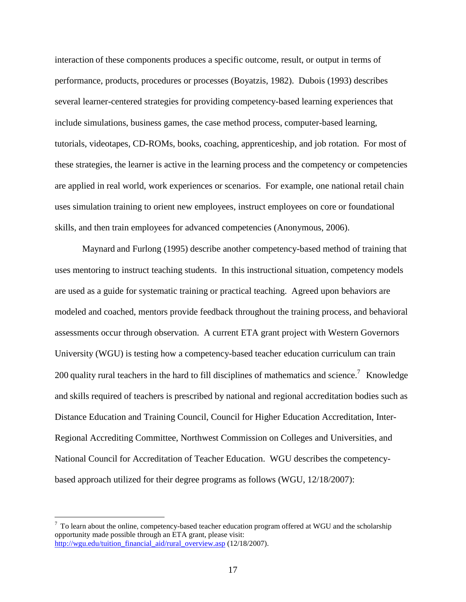interaction of these components produces a specific outcome, result, or output in terms of performance, products, procedures or processes (Boyatzis, 1982). Dubois (1993) describes several learner-centered strategies for providing competency-based learning experiences that include simulations, business games, the case method process, computer-based learning, tutorials, videotapes, CD-ROMs, books, coaching, apprenticeship, and job rotation. For most of these strategies, the learner is active in the learning process and the competency or competencies are applied in real world, work experiences or scenarios. For example, one national retail chain uses simulation training to orient new employees, instruct employees on core or foundational skills, and then train employees for advanced competencies (Anonymous, 2006).

Maynard and Furlong (1995) describe another competency-based method of training that uses mentoring to instruct teaching students. In this instructional situation, competency models are used as a guide for systematic training or practical teaching. Agreed upon behaviors are modeled and coached, mentors provide feedback throughout the training process, and behavioral assessments occur through observation. A current ETA grant project with Western Governors University (WGU) is testing how a competency-based teacher education curriculum can train 200 quality rural teachers in the hard to fill disciplines of mathematics and science.<sup>7</sup> Knowledge and skills required of teachers is prescribed by national and regional accreditation bodies such as Distance Education and Training Council, Council for Higher Education Accreditation, Inter-Regional Accrediting Committee, Northwest Commission on Colleges and Universities, and National Council for Accreditation of Teacher Education. WGU describes the competencybased approach utilized for their degree programs as follows (WGU, 12/18/2007):

 $7$  To learn about the online, competency-based teacher education program offered at WGU and the scholarship opportunity made possible through an ETA grant, please visit: [http://wgu.edu/tuition\\_financial\\_aid/rural\\_overview.asp](http://wgu.edu/tuition_financial_aid/rural_overview.asp) (12/18/2007).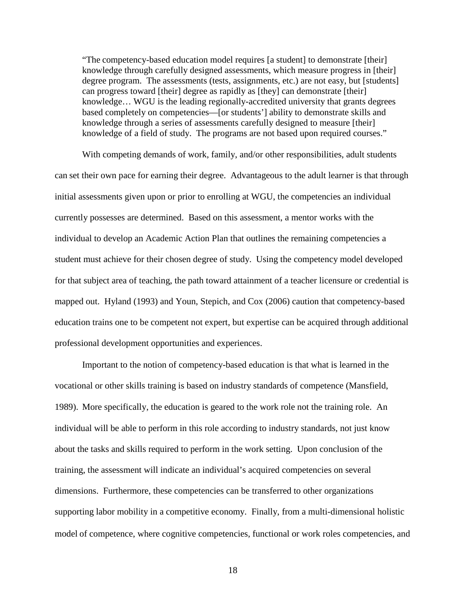"The competency-based education model requires [a student] to demonstrate [their] knowledge through carefully designed assessments, which measure progress in [their] degree program. The assessments (tests, assignments, etc.) are not easy, but [students] can progress toward [their] degree as rapidly as [they] can demonstrate [their] knowledge… WGU is the leading regionally-accredited university that grants degrees based completely on competencies—[or students'] ability to demonstrate skills and knowledge through a series of assessments carefully designed to measure [their] knowledge of a field of study. The programs are not based upon required courses."

With competing demands of work, family, and/or other responsibilities, adult students can set their own pace for earning their degree. Advantageous to the adult learner is that through initial assessments given upon or prior to enrolling at WGU, the competencies an individual currently possesses are determined. Based on this assessment, a mentor works with the individual to develop an Academic Action Plan that outlines the remaining competencies a student must achieve for their chosen degree of study. Using the competency model developed for that subject area of teaching, the path toward attainment of a teacher licensure or credential is mapped out. Hyland (1993) and Youn, Stepich, and Cox (2006) caution that competency-based education trains one to be competent not expert, but expertise can be acquired through additional professional development opportunities and experiences.

Important to the notion of competency-based education is that what is learned in the vocational or other skills training is based on industry standards of competence (Mansfield, 1989). More specifically, the education is geared to the work role not the training role. An individual will be able to perform in this role according to industry standards, not just know about the tasks and skills required to perform in the work setting. Upon conclusion of the training, the assessment will indicate an individual's acquired competencies on several dimensions. Furthermore, these competencies can be transferred to other organizations supporting labor mobility in a competitive economy. Finally, from a multi-dimensional holistic model of competence, where cognitive competencies, functional or work roles competencies, and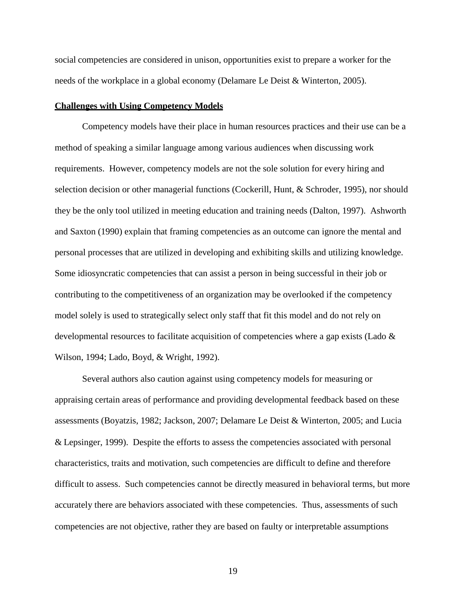social competencies are considered in unison, opportunities exist to prepare a worker for the needs of the workplace in a global economy (Delamare Le Deist & Winterton, 2005).

#### **Challenges with Using Competency Models**

Competency models have their place in human resources practices and their use can be a method of speaking a similar language among various audiences when discussing work requirements. However, competency models are not the sole solution for every hiring and selection decision or other managerial functions (Cockerill, Hunt, & Schroder, 1995), nor should they be the only tool utilized in meeting education and training needs (Dalton, 1997). Ashworth and Saxton (1990) explain that framing competencies as an outcome can ignore the mental and personal processes that are utilized in developing and exhibiting skills and utilizing knowledge. Some idiosyncratic competencies that can assist a person in being successful in their job or contributing to the competitiveness of an organization may be overlooked if the competency model solely is used to strategically select only staff that fit this model and do not rely on developmental resources to facilitate acquisition of competencies where a gap exists (Lado & Wilson, 1994; Lado, Boyd, & Wright, 1992).

Several authors also caution against using competency models for measuring or appraising certain areas of performance and providing developmental feedback based on these assessments (Boyatzis, 1982; Jackson, 2007; Delamare Le Deist & Winterton, 2005; and Lucia & Lepsinger, 1999). Despite the efforts to assess the competencies associated with personal characteristics, traits and motivation, such competencies are difficult to define and therefore difficult to assess. Such competencies cannot be directly measured in behavioral terms, but more accurately there are behaviors associated with these competencies. Thus, assessments of such competencies are not objective, rather they are based on faulty or interpretable assumptions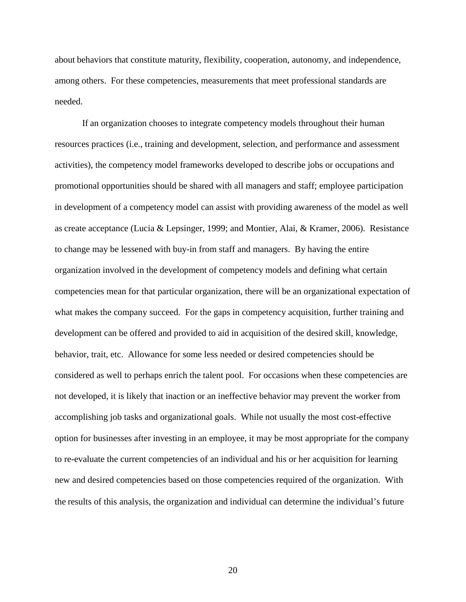about behaviors that constitute maturity, flexibility, cooperation, autonomy, and independence, among others. For these competencies, measurements that meet professional standards are needed.

If an organization chooses to integrate competency models throughout their human resources practices (i.e., training and development, selection, and performance and assessment activities), the competency model frameworks developed to describe jobs or occupations and promotional opportunities should be shared with all managers and staff; employee participation in development of a competency model can assist with providing awareness of the model as well as create acceptance (Lucia & Lepsinger, 1999; and Montier, Alai, & Kramer, 2006). Resistance to change may be lessened with buy-in from staff and managers. By having the entire organization involved in the development of competency models and defining what certain competencies mean for that particular organization, there will be an organizational expectation of what makes the company succeed. For the gaps in competency acquisition, further training and development can be offered and provided to aid in acquisition of the desired skill, knowledge, behavior, trait, etc. Allowance for some less needed or desired competencies should be considered as well to perhaps enrich the talent pool. For occasions when these competencies are not developed, it is likely that inaction or an ineffective behavior may prevent the worker from accomplishing job tasks and organizational goals. While not usually the most cost-effective option for businesses after investing in an employee, it may be most appropriate for the company to re-evaluate the current competencies of an individual and his or her acquisition for learning new and desired competencies based on those competencies required of the organization. With the results of this analysis, the organization and individual can determine the individual's future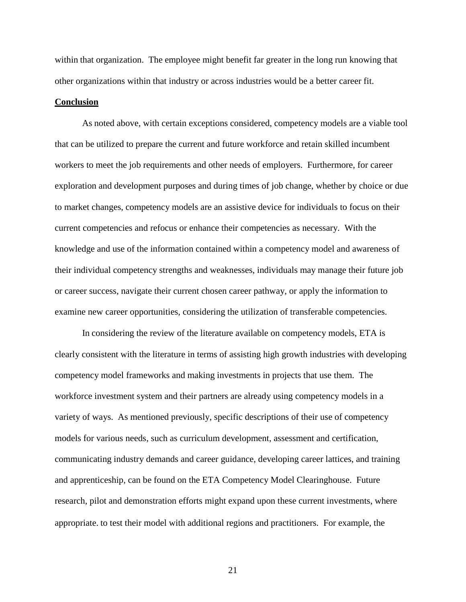within that organization. The employee might benefit far greater in the long run knowing that other organizations within that industry or across industries would be a better career fit.

## **Conclusion**

As noted above, with certain exceptions considered, competency models are a viable tool that can be utilized to prepare the current and future workforce and retain skilled incumbent workers to meet the job requirements and other needs of employers. Furthermore, for career exploration and development purposes and during times of job change, whether by choice or due to market changes, competency models are an assistive device for individuals to focus on their current competencies and refocus or enhance their competencies as necessary. With the knowledge and use of the information contained within a competency model and awareness of their individual competency strengths and weaknesses, individuals may manage their future job or career success, navigate their current chosen career pathway, or apply the information to examine new career opportunities, considering the utilization of transferable competencies.

In considering the review of the literature available on competency models, ETA is clearly consistent with the literature in terms of assisting high growth industries with developing competency model frameworks and making investments in projects that use them. The workforce investment system and their partners are already using competency models in a variety of ways. As mentioned previously, specific descriptions of their use of competency models for various needs, such as curriculum development, assessment and certification, communicating industry demands and career guidance, developing career lattices, and training and apprenticeship, can be found on the ETA Competency Model Clearinghouse. Future research, pilot and demonstration efforts might expand upon these current investments, where appropriate. to test their model with additional regions and practitioners. For example, the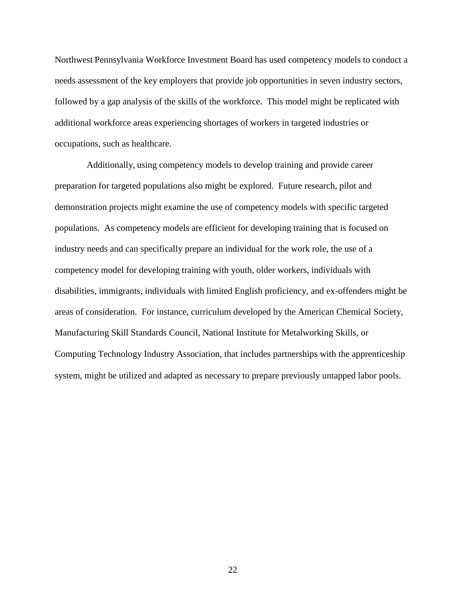Northwest Pennsylvania Workforce Investment Board has used competency models to conduct a needs assessment of the key employers that provide job opportunities in seven industry sectors, followed by a gap analysis of the skills of the workforce. This model might be replicated with additional workforce areas experiencing shortages of workers in targeted industries or occupations, such as healthcare.

Additionally, using competency models to develop training and provide career preparation for targeted populations also might be explored. Future research, pilot and demonstration projects might examine the use of competency models with specific targeted populations. As competency models are efficient for developing training that is focused on industry needs and can specifically prepare an individual for the work role, the use of a competency model for developing training with youth, older workers, individuals with disabilities, immigrants, individuals with limited English proficiency, and ex-offenders might be areas of consideration. For instance, curriculum developed by the American Chemical Society, Manufacturing Skill Standards Council, National Institute for Metalworking Skills, or Computing Technology Industry Association, that includes partnerships with the apprenticeship system, might be utilized and adapted as necessary to prepare previously untapped labor pools.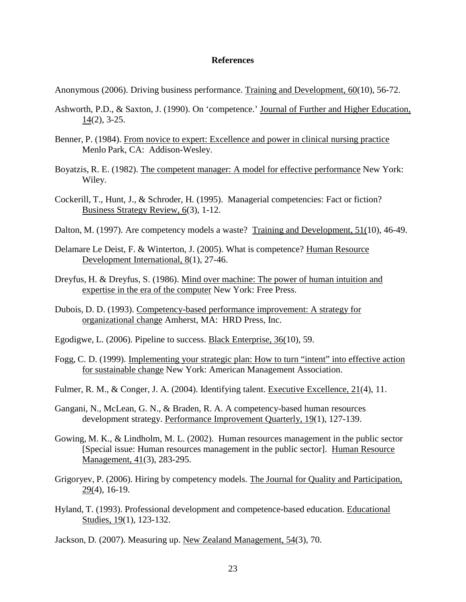### **References**

Anonymous (2006). Driving business performance. Training and Development, 60(10), 56-72.

- Ashworth, P.D., & Saxton, J. (1990). On 'competence.' Journal of Further and Higher Education, 14(2), 3-25.
- Benner, P. (1984). From novice to expert: Excellence and power in clinical nursing practice Menlo Park, CA: Addison-Wesley.
- Boyatzis, R. E. (1982). The competent manager: A model for effective performance New York: Wiley.
- Cockerill, T., Hunt, J., & Schroder, H. (1995). Managerial competencies: Fact or fiction? Business Strategy Review, 6(3), 1-12.
- Dalton, M. (1997). Are competency models a waste? Training and Development, 51(10), 46-49.
- Delamare Le Deist, F. & Winterton, J. (2005). What is competence? Human Resource Development International, 8(1), 27-46.
- Dreyfus, H. & Dreyfus, S. (1986). Mind over machine: The power of human intuition and expertise in the era of the computer New York: Free Press.
- Dubois, D. D. (1993). Competency-based performance improvement: A strategy for organizational change Amherst, MA: HRD Press, Inc.
- Egodigwe, L. (2006). Pipeline to success. Black Enterprise, 36(10), 59.
- Fogg, C. D. (1999). Implementing your strategic plan: How to turn "intent" into effective action for sustainable change New York: American Management Association.
- Fulmer, R. M., & Conger, J. A. (2004). Identifying talent. Executive Excellence, 21(4), 11.
- Gangani, N., McLean, G. N., & Braden, R. A. A competency-based human resources development strategy. Performance Improvement Quarterly, 19(1), 127-139.
- Gowing, M. K., & Lindholm, M. L. (2002). Human resources management in the public sector [Special issue: Human resources management in the public sector]. Human Resource Management, 41(3), 283-295.
- Grigoryev, P. (2006). Hiring by competency models. The Journal for Quality and Participation, 29(4), 16-19.
- Hyland, T. (1993). Professional development and competence-based education. Educational Studies, 19(1), 123-132.

Jackson, D. (2007). Measuring up. New Zealand Management, 54(3), 70.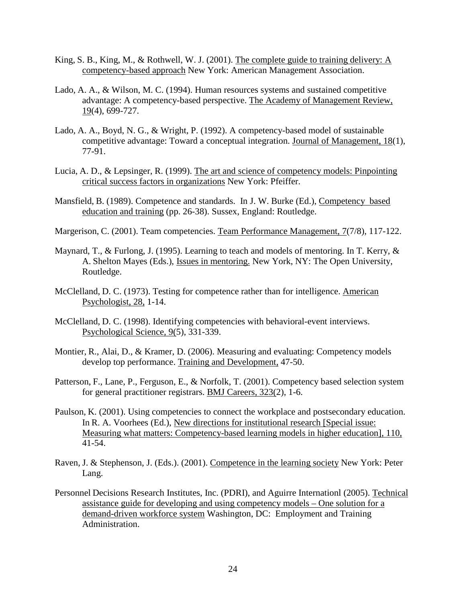- King, S. B., King, M., & Rothwell, W. J. (2001). The complete guide to training delivery: A competency-based approach New York: American Management Association.
- Lado, A. A., & Wilson, M. C. (1994). Human resources systems and sustained competitive advantage: A competency-based perspective. The Academy of Management Review, 19(4), 699-727.
- Lado, A. A., Boyd, N. G., & Wright, P. (1992). A competency-based model of sustainable competitive advantage: Toward a conceptual integration. Journal of Management, 18(1), 77-91.
- Lucia, A. D., & Lepsinger, R. (1999). The art and science of competency models: Pinpointing critical success factors in organizations New York: Pfeiffer.
- Mansfield, B. (1989). Competence and standards. In J. W. Burke (Ed.), Competency based education and training (pp. 26-38). Sussex, England: Routledge.
- Margerison, C. (2001). Team competencies. Team Performance Management, 7(7/8), 117-122.
- Maynard, T., & Furlong, J. (1995). Learning to teach and models of mentoring. In T. Kerry, & A. Shelton Mayes (Eds.), Issues in mentoring. New York, NY: The Open University, Routledge.
- McClelland, D. C. (1973). Testing for competence rather than for intelligence. American Psychologist, 28, 1-14.
- McClelland, D. C. (1998). Identifying competencies with behavioral-event interviews. Psychological Science, 9(5), 331-339.
- Montier, R., Alai, D., & Kramer, D. (2006). Measuring and evaluating: Competency models develop top performance. Training and Development, 47-50.
- Patterson, F., Lane, P., Ferguson, E., & Norfolk, T. (2001). Competency based selection system for general practitioner registrars. BMJ Careers, 323(2), 1-6.
- Paulson, K. (2001). Using competencies to connect the workplace and postsecondary education. In R. A. Voorhees (Ed.), New directions for institutional research [Special issue: Measuring what matters: Competency-based learning models in higher education], 110, 41-54.
- Raven, J. & Stephenson, J. (Eds.). (2001). Competence in the learning society New York: Peter Lang.
- Personnel Decisions Research Institutes, Inc. (PDRI), and Aguirre Internationl (2005). Technical assistance guide for developing and using competency models – One solution for a demand-driven workforce system Washington, DC: Employment and Training Administration.